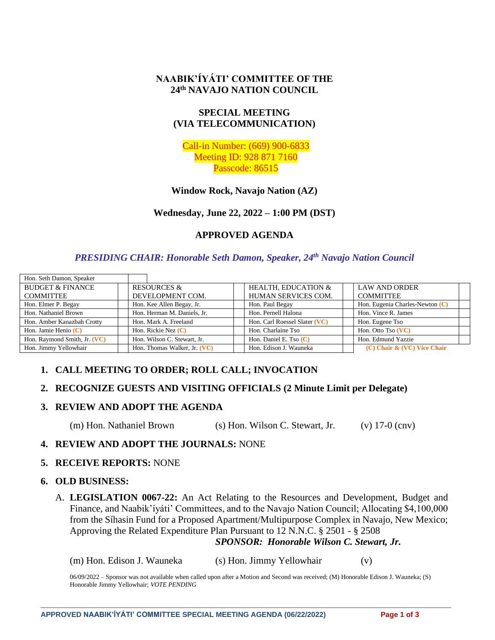## **NAABIK'ÍYÁTI' COMMITTEE OF THE 24th NAVAJO NATION COUNCIL**

## **SPECIAL MEETING (VIA TELECOMMUNICATION)**

Call-in Number: (669) 900-6833 Meeting ID: 928 871 7160 Passcode: 86515

## **Window Rock, Navajo Nation (AZ)**

## **Wednesday, June 22, 2022 – 1:00 PM (DST)**

## **APPROVED AGENDA**

## *PRESIDING CHAIR: Honorable Seth Damon, Speaker, 24th Navajo Nation Council*

| Hon. Seth Damon, Speaker     |                              |  |                                |                                   |
|------------------------------|------------------------------|--|--------------------------------|-----------------------------------|
| <b>BUDGET &amp; FINANCE</b>  | <b>RESOURCES &amp;</b>       |  | <b>HEALTH, EDUCATION &amp;</b> | <b>LAW AND ORDER</b>              |
| <b>COMMITTEE</b>             | DEVELOPMENT COM.             |  | HUMAN SERVICES COM.            | <b>COMMITTEE</b>                  |
| Hon. Elmer P. Begay          | Hon. Kee Allen Begay, Jr.    |  | Hon. Paul Begay                | Hon. Eugenia Charles-Newton $(C)$ |
| Hon. Nathaniel Brown         | Hon. Herman M. Daniels, Jr.  |  | Hon. Pernell Halona            | Hon. Vince R. James               |
| Hon. Amber Kanazbah Crotty   | Hon. Mark A. Freeland        |  | Hon. Carl Roessel Slater (VC)  | Hon. Eugene Tso                   |
| Hon. Jamie Henio $(C)$       | Hon. Rickie Nez $(C)$        |  | Hon. Charlaine Tso             | Hon. Otto Tso (VC)                |
| Hon. Raymond Smith, Jr. (VC) | Hon. Wilson C. Stewart, Jr.  |  | Hon. Daniel E. Tso $(C)$       | Hon. Edmund Yazzie                |
| Hon. Jimmy Yellowhair        | Hon. Thomas Walker, Jr. (VC) |  | Hon. Edison J. Wauneka         | $(C)$ Chair & $(VC)$ Vice Chair   |

## **1. CALL MEETING TO ORDER; ROLL CALL; INVOCATION**

## **2. RECOGNIZE GUESTS AND VISITING OFFICIALS (2 Minute Limit per Delegate)**

## **3. REVIEW AND ADOPT THE AGENDA**

(m) Hon. Nathaniel Brown (s) Hon. Wilson C. Stewart, Jr. (v) 17-0 (cnv)

## **4. REVIEW AND ADOPT THE JOURNALS:** NONE

#### **5. RECEIVE REPORTS:** NONE

#### **6. OLD BUSINESS:**

A. **LEGISLATION 0067-22:** An Act Relating to the Resources and Development, Budget and Finance, and Naabik'íyáti' Committees, and to the Navajo Nation Council; Allocating \$4,100,000 from the Síhasin Fund for a Proposed Apartment/Multipurpose Complex in Navajo, New Mexico; Approving the Related Expenditure Plan Pursuant to 12 N.N.C. § 2501 - § 2508

#### *SPONSOR: Honorable Wilson C. Stewart, Jr.*

(m) Hon. Edison J. Wauneka (s) Hon. Jimmy Yellowhair (v)

06/09/2022 – Sponsor was not available when called upon after a Motion and Second was received; (M) Honorable Edison J. Wauneka; (S) Honorable Jimmy Yellowhair; *VOTE PENDING*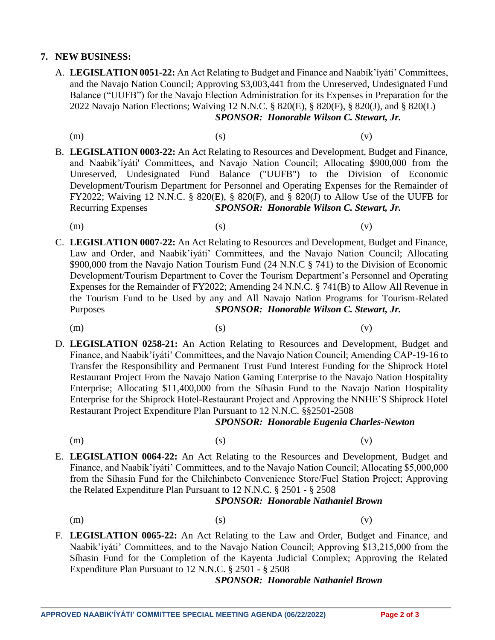## **7. NEW BUSINESS:**

- A. **LEGISLATION 0051-22:** An Act Relating to Budget and Finance and Naabik'íyáti' Committees, and the Navajo Nation Council; Approving \$3,003,441 from the Unreserved, Undesignated Fund Balance ("UUFB") for the Navajo Election Administration for its Expenses in Preparation for the 2022 Navajo Nation Elections; Waiving 12 N.N.C. § 820(E), § 820(F), § 820(J), and § 820(L) *SPONSOR: Honorable Wilson C. Stewart, Jr.*
	-
	- (m)  $(s)$  (c)
- B. **LEGISLATION 0003-22:** An Act Relating to Resources and Development, Budget and Finance, and Naabik'íyáti' Committees, and Navajo Nation Council; Allocating \$900,000 from the Unreserved, Undesignated Fund Balance ("UUFB") to the Division of Economic Development/Tourism Department for Personnel and Operating Expenses for the Remainder of FY2022; Waiving 12 N.N.C. § 820(E), § 820(F), and § 820(J) to Allow Use of the UUFB for Recurring Expenses *SPONSOR: Honorable Wilson C. Stewart, Jr.*
	- (m)  $(s)$  (c)

C. **LEGISLATION 0007-22:** An Act Relating to Resources and Development, Budget and Finance, Law and Order, and Naabik'íyáti' Committees, and the Navajo Nation Council; Allocating \$900,000 from the Navajo Nation Tourism Fund (24 N.N.C § 741) to the Division of Economic Development/Tourism Department to Cover the Tourism Department's Personnel and Operating Expenses for the Remainder of FY2022; Amending 24 N.N.C. § 741(B) to Allow All Revenue in the Tourism Fund to be Used by any and All Navajo Nation Programs for Tourism-Related Purposes *SPONSOR: Honorable Wilson C. Stewart, Jr.*

- (m)  $(s)$  (c) D. **LEGISLATION 0258-21:** An Action Relating to Resources and Development, Budget and
- Finance, and Naabik'íyáti' Committees, and the Navajo Nation Council; Amending CAP-19-16 to Transfer the Responsibility and Permanent Trust Fund Interest Funding for the Shiprock Hotel Restaurant Project From the Navajo Nation Gaming Enterprise to the Navajo Nation Hospitality Enterprise; Allocating \$11,400,000 from the Síhasin Fund to the Navajo Nation Hospitality Enterprise for the Shiprock Hotel-Restaurant Project and Approving the NNHE'S Shiprock Hotel Restaurant Project Expenditure Plan Pursuant to 12 N.N.C. §§2501-2508

## *SPONSOR: Honorable Eugenia Charles-Newton*

(m)  $(s)$  (c)

- 
- E. **LEGISLATION 0064-22:** An Act Relating to the Resources and Development, Budget and Finance, and Naabik'íyáti' Committees, and to the Navajo Nation Council; Allocating \$5,000,000 from the Síhasin Fund for the Chiłchinbeto Convenience Store/Fuel Station Project; Approving the Related Expenditure Plan Pursuant to 12 N.N.C. § 2501 - § 2508

## *SPONSOR: Honorable Nathaniel Brown*

- 
- (m)  $(s)$  (c)
- F. **LEGISLATION 0065-22:** An Act Relating to the Law and Order, Budget and Finance, and Naabik'íyáti' Committees, and to the Navajo Nation Council; Approving \$13,215,000 from the Síhasin Fund for the Completion of the Kayenta Judicial Complex; Approving the Related Expenditure Plan Pursuant to 12 N.N.C. § 2501 - § 2508

## *SPONSOR: Honorable Nathaniel Brown*